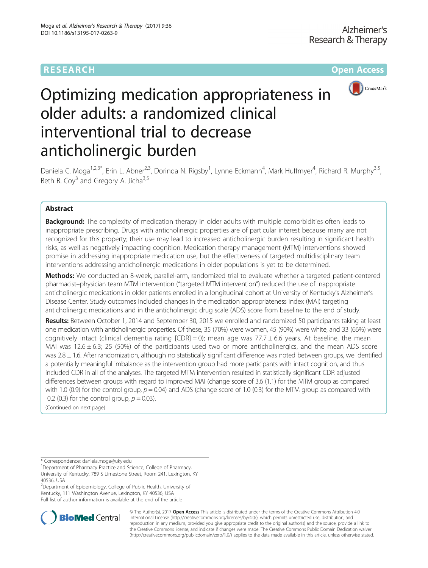**RESEARCH CHEAR CHEAR CHEAR CHEAR CHEAR CHEAR CHEAR CHEAR CHEAR CHEAR CHEAR CHEAR CHEAR CHEAR CHEAR CHEAR CHEAR** 



# Optimizing medication appropriateness in older adults: a randomized clinical interventional trial to decrease anticholinergic burden

Daniela C. Moga<sup>1,2,3\*</sup>, Erin L. Abner<sup>2,3</sup>, Dorinda N. Rigsby<sup>1</sup>, Lynne Eckmann<sup>4</sup>, Mark Huffmyer<sup>4</sup>, Richard R. Murphy<sup>3,5</sup>, Beth B. Coy<sup>3</sup> and Gregory A. Jicha $3,5$ 

# Abstract

**Background:** The complexity of medication therapy in older adults with multiple comorbidities often leads to inappropriate prescribing. Drugs with anticholinergic properties are of particular interest because many are not recognized for this property; their use may lead to increased anticholinergic burden resulting in significant health risks, as well as negatively impacting cognition. Medication therapy management (MTM) interventions showed promise in addressing inappropriate medication use, but the effectiveness of targeted multidisciplinary team interventions addressing anticholinergic medications in older populations is yet to be determined.

Methods: We conducted an 8-week, parallel-arm, randomized trial to evaluate whether a targeted patient-centered pharmacist–physician team MTM intervention ("targeted MTM intervention") reduced the use of inappropriate anticholinergic medications in older patients enrolled in a longitudinal cohort at University of Kentucky's Alzheimer's Disease Center. Study outcomes included changes in the medication appropriateness index (MAI) targeting anticholinergic medications and in the anticholinergic drug scale (ADS) score from baseline to the end of study.

Results: Between October 1, 2014 and September 30, 2015 we enrolled and randomized 50 participants taking at least one medication with anticholinergic properties. Of these, 35 (70%) were women, 45 (90%) were white, and 33 (66%) were cognitively intact (clinical dementia rating  $[CDR] = 0$ ); mean age was 77.7  $\pm$  6.6 years. At baseline, the mean MAI was 12.6  $\pm$  6.3; 25 (50%) of the participants used two or more anticholinergics, and the mean ADS score was 2.8  $\pm$  1.6. After randomization, although no statistically significant difference was noted between groups, we identified a potentially meaningful imbalance as the intervention group had more participants with intact cognition, and thus included CDR in all of the analyses. The targeted MTM intervention resulted in statistically significant CDR adjusted differences between groups with regard to improved MAI (change score of 3.6 (1.1) for the MTM group as compared with 1.0 (0.9) for the control group,  $p = 0.04$ ) and ADS (change score of 1.0 (0.3) for the MTM group as compared with 0.2 (0.3) for the control group,  $p = 0.03$ ).

(Continued on next page)

\* Correspondence: [daniela.moga@uky.edu](mailto:daniela.moga@uky.edu) <sup>1</sup>

<sup>1</sup> Department of Pharmacy Practice and Science, College of Pharmacy, University of Kentucky, 789 S Limestone Street, Room 241, Lexington, KY

40536, USA <sup>2</sup>Department of Epidemiology, College of Public Health, University of Kentucky, 111 Washington Avenue, Lexington, KY 40536, USA Full list of author information is available at the end of the article



© The Author(s). 2017 **Open Access** This article is distributed under the terms of the Creative Commons Attribution 4.0 International License [\(http://creativecommons.org/licenses/by/4.0/](http://creativecommons.org/licenses/by/4.0/)), which permits unrestricted use, distribution, and reproduction in any medium, provided you give appropriate credit to the original author(s) and the source, provide a link to the Creative Commons license, and indicate if changes were made. The Creative Commons Public Domain Dedication waiver [\(http://creativecommons.org/publicdomain/zero/1.0/](http://creativecommons.org/publicdomain/zero/1.0/)) applies to the data made available in this article, unless otherwise stated.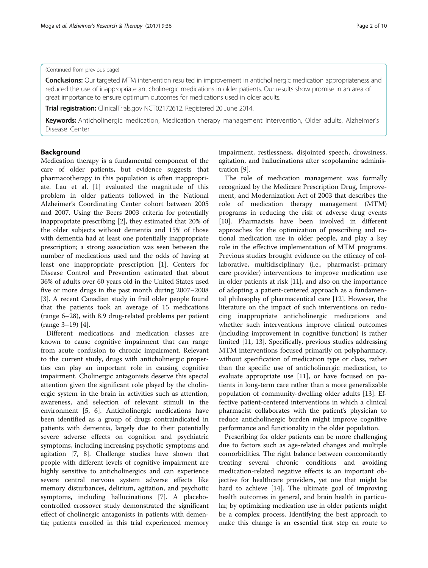# (Continued from previous page)

Conclusions: Our targeted MTM intervention resulted in improvement in anticholinergic medication appropriateness and reduced the use of inappropriate anticholinergic medications in older patients. Our results show promise in an area of great importance to ensure optimum outcomes for medications used in older adults.

Trial registration: ClinicalTrials.gov [NCT02172612](https://clinicaltrials.gov/ct2/show/NCT02172612?term=A+Pilot+Study+to+Reduce+Inappropriate+Anticholinergic+Prescribing+in+the+Elderly&rank=1). Registered 20 June 2014.

Keywords: Anticholinergic medication, Medication therapy management intervention, Older adults, Alzheimer's Disease Center

# Background

Medication therapy is a fundamental component of the care of older patients, but evidence suggests that pharmacotherapy in this population is often inappropriate. Lau et al. [\[1](#page-9-0)] evaluated the magnitude of this problem in older patients followed in the National Alzheimer's Coordinating Center cohort between 2005 and 2007. Using the Beers 2003 criteria for potentially inappropriate prescribing [[2\]](#page-9-0), they estimated that 20% of the older subjects without dementia and 15% of those with dementia had at least one potentially inappropriate prescription; a strong association was seen between the number of medications used and the odds of having at least one inappropriate prescription [[1\]](#page-9-0). Centers for Disease Control and Prevention estimated that about 36% of adults over 60 years old in the United States used five or more drugs in the past month during 2007–2008 [[3\]](#page-9-0). A recent Canadian study in frail older people found that the patients took an average of 15 medications (range 6–28), with 8.9 drug-related problems per patient (range 3–19) [\[4](#page-9-0)].

Different medications and medication classes are known to cause cognitive impairment that can range from acute confusion to chronic impairment. Relevant to the current study, drugs with anticholinergic properties can play an important role in causing cognitive impairment. Cholinergic antagonists deserve this special attention given the significant role played by the cholinergic system in the brain in activities such as attention, awareness, and selection of relevant stimuli in the environment [\[5](#page-9-0), [6](#page-9-0)]. Anticholinergic medications have been identified as a group of drugs contraindicated in patients with dementia, largely due to their potentially severe adverse effects on cognition and psychiatric symptoms, including increasing psychotic symptoms and agitation [\[7](#page-9-0), [8](#page-9-0)]. Challenge studies have shown that people with different levels of cognitive impairment are highly sensitive to anticholinergics and can experience severe central nervous system adverse effects like memory disturbances, delirium, agitation, and psychotic symptoms, including hallucinations [[7\]](#page-9-0). A placebocontrolled crossover study demonstrated the significant effect of cholinergic antagonists in patients with dementia; patients enrolled in this trial experienced memory impairment, restlessness, disjointed speech, drowsiness, agitation, and hallucinations after scopolamine administration [\[9](#page-9-0)].

The role of medication management was formally recognized by the Medicare Prescription Drug, Improvement, and Modernization Act of 2003 that describes the role of medication therapy management (MTM) programs in reducing the risk of adverse drug events [[10\]](#page-9-0). Pharmacists have been involved in different approaches for the optimization of prescribing and rational medication use in older people, and play a key role in the effective implementation of MTM programs. Previous studies brought evidence on the efficacy of collaborative, multidisciplinary (i.e., pharmacist–primary care provider) interventions to improve medication use in older patients at risk [\[11\]](#page-9-0), and also on the importance of adopting a patient-centered approach as a fundamental philosophy of pharmaceutical care [[12\]](#page-9-0). However, the literature on the impact of such interventions on reducing inappropriate anticholinergic medications and whether such interventions improve clinical outcomes (including improvement in cognitive function) is rather limited [\[11, 13](#page-9-0)]. Specifically, previous studies addressing MTM interventions focused primarily on polypharmacy, without specification of medication type or class, rather than the specific use of anticholinergic medication, to evaluate appropriate use [[11](#page-9-0)], or have focused on patients in long-term care rather than a more generalizable population of community-dwelling older adults [[13\]](#page-9-0). Effective patient-centered interventions in which a clinical pharmacist collaborates with the patient's physician to reduce anticholinergic burden might improve cognitive performance and functionality in the older population.

Prescribing for older patients can be more challenging due to factors such as age-related changes and multiple comorbidities. The right balance between concomitantly treating several chronic conditions and avoiding medication-related negative effects is an important objective for healthcare providers, yet one that might be hard to achieve [[14](#page-9-0)]. The ultimate goal of improving health outcomes in general, and brain health in particular, by optimizing medication use in older patients might be a complex process. Identifying the best approach to make this change is an essential first step en route to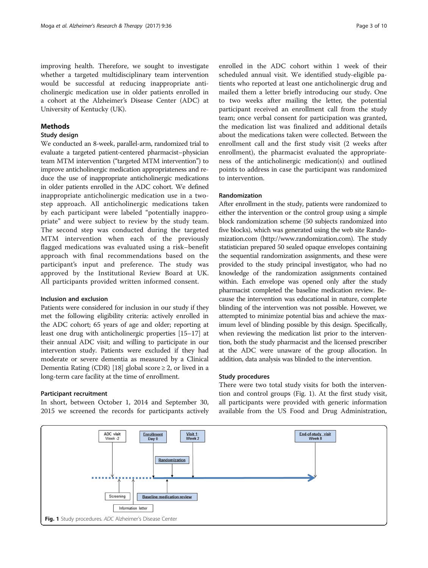improving health. Therefore, we sought to investigate whether a targeted multidisciplinary team intervention would be successful at reducing inappropriate anticholinergic medication use in older patients enrolled in a cohort at the Alzheimer's Disease Center (ADC) at University of Kentucky (UK).

# Methods

# Study design

We conducted an 8-week, parallel-arm, randomized trial to evaluate a targeted patient-centered pharmacist–physician team MTM intervention ("targeted MTM intervention") to improve anticholinergic medication appropriateness and reduce the use of inappropriate anticholinergic medications in older patients enrolled in the ADC cohort. We defined inappropriate anticholinergic medication use in a twostep approach. All anticholinergic medications taken by each participant were labeled "potentially inappropriate" and were subject to review by the study team. The second step was conducted during the targeted MTM intervention when each of the previously flagged medications was evaluated using a risk–benefit approach with final recommendations based on the participant's input and preference. The study was approved by the Institutional Review Board at UK. All participants provided written informed consent.

# Inclusion and exclusion

Patients were considered for inclusion in our study if they met the following eligibility criteria: actively enrolled in the ADC cohort; 65 years of age and older; reporting at least one drug with anticholinergic properties [\[15](#page-9-0)–[17](#page-9-0)] at their annual ADC visit; and willing to participate in our intervention study. Patients were excluded if they had moderate or severe dementia as measured by a Clinical Dementia Rating (CDR) [\[18\]](#page-9-0) global score  $\geq$  2, or lived in a long-term care facility at the time of enrollment.

# Participant recruitment

In short, between October 1, 2014 and September 30, 2015 we screened the records for participants actively enrolled in the ADC cohort within 1 week of their scheduled annual visit. We identified study-eligible patients who reported at least one anticholinergic drug and mailed them a letter briefly introducing our study. One to two weeks after mailing the letter, the potential participant received an enrollment call from the study team; once verbal consent for participation was granted, the medication list was finalized and additional details about the medications taken were collected. Between the enrollment call and the first study visit (2 weeks after enrollment), the pharmacist evaluated the appropriateness of the anticholinergic medication(s) and outlined points to address in case the participant was randomized to intervention.

# Randomization

After enrollment in the study, patients were randomized to either the intervention or the control group using a simple block randomization scheme (50 subjects randomized into five blocks), which was generated using the web site Randomization.com [\(http://www.randomization.com](http://www.randomization.com/)). The study statistician prepared 50 sealed opaque envelopes containing the sequential randomization assignments, and these were provided to the study principal investigator, who had no knowledge of the randomization assignments contained within. Each envelope was opened only after the study pharmacist completed the baseline medication review. Because the intervention was educational in nature, complete blinding of the intervention was not possible. However, we attempted to minimize potential bias and achieve the maximum level of blinding possible by this design. Specifically, when reviewing the medication list prior to the intervention, both the study pharmacist and the licensed prescriber at the ADC were unaware of the group allocation. In addition, data analysis was blinded to the intervention.

#### Study procedures

There were two total study visits for both the intervention and control groups (Fig. 1). At the first study visit, all participants were provided with generic information available from the US Food and Drug Administration,

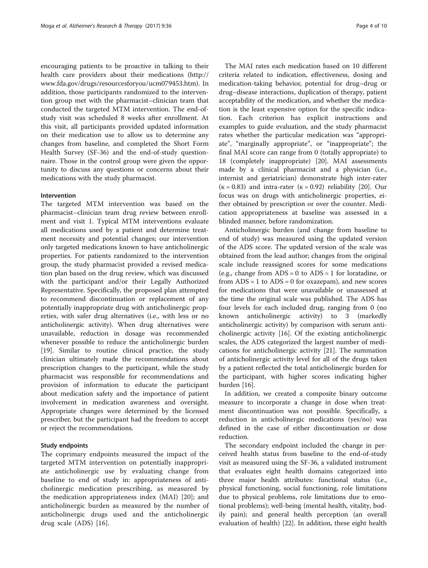encouraging patients to be proactive in talking to their health care providers about their medications [\(http://](http://www.fda.gov/drugs/resourcesforyou/ucm079453.htm) [www.fda.gov/drugs/resourcesforyou/ucm079453.htm\)](http://www.fda.gov/drugs/resourcesforyou/ucm079453.htm). In addition, those participants randomized to the intervention group met with the pharmacist–clinician team that conducted the targeted MTM intervention. The end-ofstudy visit was scheduled 8 weeks after enrollment. At this visit, all participants provided updated information on their medication use to allow us to determine any changes from baseline, and completed the Short Form Health Survey (SF-36) and the end-of-study questionnaire. Those in the control group were given the opportunity to discuss any questions or concerns about their medications with the study pharmacist.

# Intervention

The targeted MTM intervention was based on the pharmacist–clinician team drug review between enrollment and visit 1. Typical MTM interventions evaluate all medications used by a patient and determine treatment necessity and potential changes; our intervention only targeted medications known to have anticholinergic properties. For patients randomized to the intervention group, the study pharmacist provided a revised medication plan based on the drug review, which was discussed with the participant and/or their Legally Authorized Representative. Specifically, the proposed plan attempted to recommend discontinuation or replacement of any potentially inappropriate drug with anticholinergic properties, with safer drug alternatives (i.e., with less or no anticholinergic activity). When drug alternatives were unavailable, reduction in dosage was recommended whenever possible to reduce the anticholinergic burden [[19\]](#page-9-0). Similar to routine clinical practice, the study clinician ultimately made the recommendations about prescription changes to the participant, while the study pharmacist was responsible for recommendations and provision of information to educate the participant about medication safety and the importance of patient involvement in medication awareness and oversight. Appropriate changes were determined by the licensed prescriber, but the participant had the freedom to accept or reject the recommendations.

# Study endpoints

The coprimary endpoints measured the impact of the targeted MTM intervention on potentially inappropriate anticholinergic use by evaluating change from baseline to end of study in: appropriateness of anticholinergic medication prescribing, as measured by the medication appropriateness index (MAI) [[20\]](#page-9-0); and anticholinergic burden as measured by the number of anticholinergic drugs used and the anticholinergic drug scale (ADS) [[16\]](#page-9-0).

The MAI rates each medication based on 10 different criteria related to indication, effectiveness, dosing and medication-taking behavior, potential for drug–drug or drug–disease interactions, duplication of therapy, patient acceptability of the medication, and whether the medication is the least expensive option for the specific indication. Each criterion has explicit instructions and examples to guide evaluation, and the study pharmacist rates whether the particular medication was "appropriate", "marginally appropriate", or "inappropriate"; the final MAI score can range from 0 (totally appropriate) to 18 (completely inappropriate) [\[20](#page-9-0)]. MAI assessments made by a clinical pharmacist and a physician (i.e., internist and geriatrician) demonstrate high inter-rater  $(k = 0.83)$  and intra-rater  $(k = 0.92)$  reliability [\[20\]](#page-9-0). Our focus was on drugs with anticholinergic properties, either obtained by prescription or over the counter. Medication appropriateness at baseline was assessed in a blinded manner, before randomization.

Anticholinergic burden (and change from baseline to end of study) was measured using the updated version of the ADS score. The updated version of the scale was obtained from the lead author; changes from the original scale include reassigned scores for some medications (e.g., change from ADS = 0 to ADS = 1 for loratadine, or from  $ADS = 1$  to  $ADS = 0$  for oxazepam), and new scores for medications that were unavailable or unassessed at the time the original scale was published. The ADS has four levels for each included drug, ranging from 0 (no known anticholinergic activity) to 3 (markedly anticholinergic activity) by comparison with serum anticholinergic activity [[16\]](#page-9-0). Of the existing anticholinergic scales, the ADS categorized the largest number of medications for anticholinergic activity [\[21](#page-9-0)]. The summation of anticholinergic activity level for all of the drugs taken by a patient reflected the total anticholinergic burden for the participant, with higher scores indicating higher burden [[16\]](#page-9-0).

In addition, we created a composite binary outcome measure to incorporate a change in dose when treatment discontinuation was not possible. Specifically, a reduction in anticholinergic medications (yes/no) was defined in the case of either discontinuation or dose reduction.

The secondary endpoint included the change in perceived health status from baseline to the end-of-study visit as measured using the SF-36, a validated instrument that evaluates eight health domains categorized into three major health attributes: functional status (i.e., physical functioning, social functioning, role limitations due to physical problems, role limitations due to emotional problems); well-being (mental health, vitality, bodily pain); and general health perception (an overall evaluation of health) [\[22\]](#page-9-0). In addition, these eight health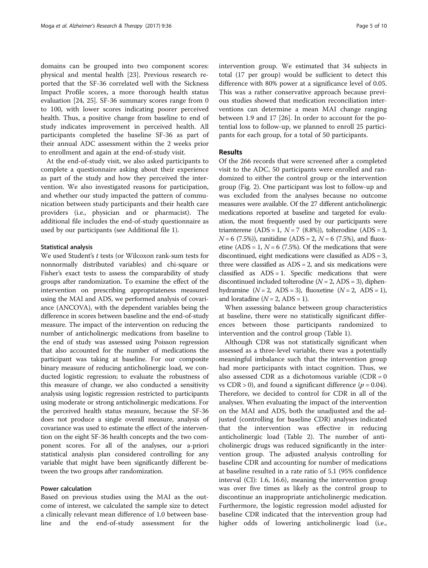domains can be grouped into two component scores: physical and mental health [\[23\]](#page-9-0). Previous research reported that the SF-36 correlated well with the Sickness Impact Profile scores, a more thorough health status evaluation [\[24](#page-9-0), [25\]](#page-9-0). SF-36 summary scores range from 0 to 100, with lower scores indicating poorer perceived health. Thus, a positive change from baseline to end of study indicates improvement in perceived health. All participants completed the baseline SF-36 as part of their annual ADC assessment within the 2 weeks prior to enrollment and again at the end-of-study visit.

At the end-of-study visit, we also asked participants to complete a questionnaire asking about their experience as part of the study and how they perceived the intervention. We also investigated reasons for participation, and whether our study impacted the pattern of communication between study participants and their health care providers (i.e., physician and or pharmacist). The additional file includes the end-of-study questionnaire as used by our participants (see Additional file [1\)](#page-8-0).

# Statistical analysis

We used Student's t tests (or Wilcoxon rank-sum tests for nonnormally distributed variables) and chi-square or Fisher's exact tests to assess the comparability of study groups after randomization. To examine the effect of the intervention on prescribing appropriateness measured using the MAI and ADS, we performed analysis of covariance (ANCOVA), with the dependent variables being the difference in scores between baseline and the end-of-study measure. The impact of the intervention on reducing the number of anticholinergic medications from baseline to the end of study was assessed using Poisson regression that also accounted for the number of medications the participant was taking at baseline. For our composite binary measure of reducing anticholinergic load, we conducted logistic regression; to evaluate the robustness of this measure of change, we also conducted a sensitivity analysis using logistic regression restricted to participants using moderate or strong anticholinergic medications. For the perceived health status measure, because the SF-36 does not produce a single overall measure, analysis of covariance was used to estimate the effect of the intervention on the eight SF-36 health concepts and the two component scores. For all of the analyses, our a-priori statistical analysis plan considered controlling for any variable that might have been significantly different between the two groups after randomization.

# Power calculation

Based on previous studies using the MAI as the outcome of interest, we calculated the sample size to detect a clinically relevant mean difference of 1.0 between baseline and the end-of-study assessment for the intervention group. We estimated that 34 subjects in total (17 per group) would be sufficient to detect this difference with 80% power at a significance level of 0.05. This was a rather conservative approach because previous studies showed that medication reconciliation interventions can determine a mean MAI change ranging between 1.9 and 17 [\[26](#page-9-0)]. In order to account for the potential loss to follow-up, we planned to enroll 25 participants for each group, for a total of 50 participants.

# Results

Of the 266 records that were screened after a completed visit to the ADC, 50 participants were enrolled and randomized to either the control group or the intervention group (Fig. [2\)](#page-5-0). One participant was lost to follow-up and was excluded from the analyses because no outcome measures were available. Of the 27 different anticholinergic medications reported at baseline and targeted for evaluation, the most frequently used by our participants were triamterene (ADS = 1,  $N = 7$  (8.8%)), tolterodine (ADS = 3,  $N = 6$  (7.5%)), ranitidine (ADS = 2,  $N = 6$  (7.5%), and fluoxetine (ADS = 1,  $N = 6$  (7.5%). Of the medications that were discontinued, eight medications were classified as ADS = 3, three were classified as  $ADS = 2$ , and six medications were classified as  $ADS = 1$ . Specific medications that were discontinued included tolterodine  $(N = 2,$  ADS = 3), diphenhydramine  $(N = 2, \text{ADS} = 3)$ , fluoxetine  $(N = 2, \text{ADS} = 1)$ , and loratadine  $(N = 2, \text{ADS} = 1)$ .

When assessing balance between group characteristics at baseline, there were no statistically significant differences between those participants randomized to intervention and the control group (Table [1](#page-6-0)).

Although CDR was not statistically significant when assessed as a three-level variable, there was a potentially meaningful imbalance such that the intervention group had more participants with intact cognition. Thus, we also assessed CDR as a dichotomous variable  $(CDR = 0$ vs CDR  $>$  0), and found a significant difference ( $p = 0.04$ ). Therefore, we decided to control for CDR in all of the analyses. When evaluating the impact of the intervention on the MAI and ADS, both the unadjusted and the adjusted (controlling for baseline CDR) analyses indicated that the intervention was effective in reducing anticholinergic load (Table [2](#page-7-0)). The number of anticholinergic drugs was reduced significantly in the intervention group. The adjusted analysis controlling for baseline CDR and accounting for number of medications at baseline resulted in a rate ratio of 5.1 (95% confidence interval (CI): 1.6, 16.6), meaning the intervention group was over five times as likely as the control group to discontinue an inappropriate anticholinergic medication. Furthermore, the logistic regression model adjusted for baseline CDR indicated that the intervention group had higher odds of lowering anticholinergic load (i.e.,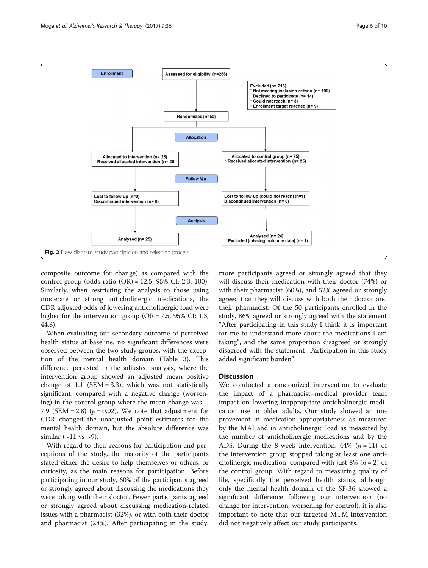<span id="page-5-0"></span>

composite outcome for change) as compared with the control group (odds ratio (OR) = 12.5; 95% CI: 2.3, 100). Similarly, when restricting the analysis to those using moderate or strong anticholinergic medications, the CDR adjusted odds of lowering anticholinergic load were higher for the intervention group (OR = 7.5, 95% CI: 1.3, 44.6).

When evaluating our secondary outcome of perceived health status at baseline, no significant differences were observed between the two study groups, with the exception of the mental health domain (Table [3\)](#page-7-0). This difference persisted in the adjusted analysis, where the intervention group showed an adjusted mean positive change of 1.1 (SEM = 3.3), which was not statistically significant, compared with a negative change (worsening) in the control group where the mean change was – 7.9 (SEM = 2.8) ( $p = 0.02$ ). We note that adjustment for CDR changed the unadjusted point estimates for the mental health domain, but the absolute difference was similar ( $\sim$ 11 vs  $\sim$ 9).

With regard to their reasons for participation and perceptions of the study, the majority of the participants stated either the desire to help themselves or others, or curiosity, as the main reasons for participation. Before participating in our study, 60% of the participants agreed or strongly agreed about discussing the medications they were taking with their doctor. Fewer participants agreed or strongly agreed about discussing medication-related issues with a pharmacist (32%), or with both their doctor and pharmacist (28%). After participating in the study,

more participants agreed or strongly agreed that they will discuss their medication with their doctor (74%) or with their pharmacist (60%), and 52% agreed or strongly agreed that they will discuss with both their doctor and their pharmacist. Of the 50 participants enrolled in the study, 86% agreed or strongly agreed with the statement "After participating in this study I think it is important for me to understand more about the medications I am taking", and the same proportion disagreed or strongly disagreed with the statement "Participation in this study added significant burden".

# **Discussion**

We conducted a randomized intervention to evaluate the impact of a pharmacist–medical provider team impact on lowering inappropriate anticholinergic medication use in older adults. Our study showed an improvement in medication appropriateness as measured by the MAI and in anticholinergic load as measured by the number of anticholinergic medications and by the ADS. During the 8-week intervention,  $44\%$  ( $n = 11$ ) of the intervention group stopped taking at least one anticholinergic medication, compared with just 8% ( $n = 2$ ) of the control group. With regard to measuring quality of life, specifically the perceived health status, although only the mental health domain of the SF-36 showed a significant difference following our intervention (no change for intervention, worsening for control), it is also important to note that our targeted MTM intervention did not negatively affect our study participants.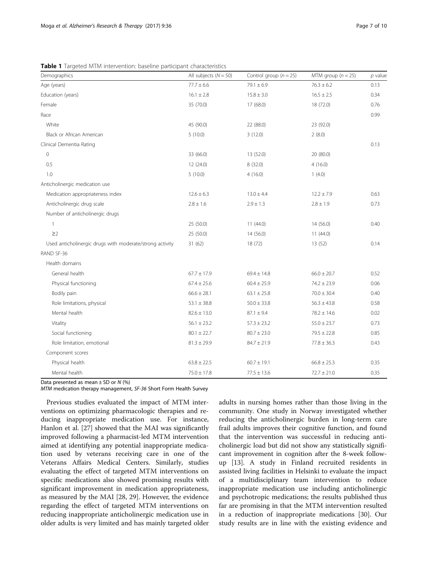<span id="page-6-0"></span>Table 1 Targeted MTM intervention: baseline participant characteristics

| Demographics                                             | All subjects $(N = 50)$ | Control group ( $n = 25$ ) | MTM group $(n = 25)$ | $p$ value |
|----------------------------------------------------------|-------------------------|----------------------------|----------------------|-----------|
| Age (years)                                              | $77.7 \pm 6.6$          | $79.1 \pm 6.9$             | $76.3 \pm 6.2$       | 0.13      |
| Education (years)                                        | $16.1 \pm 2.8$          | $15.8 \pm 3.0$             | $16.5 \pm 2.5$       | 0.34      |
| Female                                                   | 35 (70.0)               | 17 (68.0)                  | 18 (72.0)            | 0.76      |
| Race                                                     |                         |                            |                      | 0.99      |
| White                                                    | 45 (90.0)               | 22 (88.0)                  | 23 (92.0)            |           |
| Black or African American                                | 5(10.0)                 | 3(12.0)                    | 2(8.0)               |           |
| Clinical Dementia Rating                                 |                         |                            |                      | 0.13      |
| $\circ$                                                  | 33 (66.0)               | 13 (52.0)                  | 20 (80.0)            |           |
| 0.5                                                      | 12(24.0)                | 8(32.0)                    | 4(16.0)              |           |
| 1.0                                                      | 5(10.0)                 | 4(16.0)                    | 1(4.0)               |           |
| Anticholinergic medication use                           |                         |                            |                      |           |
| Medication appropriateness index                         | $12.6 \pm 6.3$          | $13.0 \pm 4.4$             | $12.2 \pm 7.9$       | 0.63      |
| Anticholinergic drug scale                               | $2.8 \pm 1.6$           | $2.9 \pm 1.3$              | $2.8 \pm 1.9$        | 0.73      |
| Number of anticholinergic drugs                          |                         |                            |                      |           |
| 1                                                        | 25 (50.0)               | 11(44.0)                   | 14 (56.0)            | 0.40      |
| $\geq$ 2                                                 | 25 (50.0)               | 14 (56.0)                  | 11(44.0)             |           |
| Used anticholinergic drugs with moderate/strong activity | 31 (62)                 | 18 (72)                    | 13 (52)              | 0.14      |
| RAND SF-36                                               |                         |                            |                      |           |
| Health domains                                           |                         |                            |                      |           |
| General health                                           | $67.7 \pm 17.9$         | $69.4 \pm 14.8$            | $66.0 \pm 20.7$      | 0.52      |
| Physical functioning                                     | $67.4 \pm 25.6$         | $60.4 \pm 25.9$            | $74.2 \pm 23.9$      | 0.06      |
| Bodily pain                                              | $66.6 \pm 28.1$         | $63.1 \pm 25.8$            | $70.0 \pm 30.4$      | 0.40      |
| Role limitations, physical                               | $53.1 \pm 38.8$         | $50.0 \pm 33.8$            | $56.3 \pm 43.8$      | 0.58      |
| Mental health                                            | $82.6 \pm 13.0$         | $87.1 \pm 9.4$             | $78.2 \pm 14.6$      | 0.02      |
| Vitality                                                 | $56.1 \pm 23.2$         | $57.3 \pm 23.2$            | $55.0 \pm 23.7$      | 0.73      |
| Social functioning                                       | $80.1 \pm 22.7$         | $80.7 \pm 23.0$            | $79.5 \pm 22.8$      | 0.85      |
| Role limitation, emotional                               | $81.3 \pm 29.9$         | $84.7 \pm 21.9$            | $77.8 \pm 36.3$      | 0.43      |
| Component scores                                         |                         |                            |                      |           |
| Physical health                                          | $63.8 \pm 22.5$         | $60.7 \pm 19.1$            | $66.8 \pm 25.3$      | 0.35      |
| Mental health                                            | $75.0 \pm 17.8$         | $77.5 \pm 13.6$            | $72.7 \pm 21.0$      | 0.35      |

Data presented as mean  $\pm$  SD or N (%)

MTM medication therapy management, SF-36 Short Form Health Survey

Previous studies evaluated the impact of MTM interventions on optimizing pharmacologic therapies and reducing inappropriate medication use. For instance, Hanlon et al. [\[27\]](#page-9-0) showed that the MAI was significantly improved following a pharmacist-led MTM intervention aimed at identifying any potential inappropriate medication used by veterans receiving care in one of the Veterans Affairs Medical Centers. Similarly, studies evaluating the effect of targeted MTM interventions on specific medications also showed promising results with significant improvement in medication appropriateness, as measured by the MAI [[28, 29\]](#page-9-0). However, the evidence regarding the effect of targeted MTM interventions on reducing inappropriate anticholinergic medication use in older adults is very limited and has mainly targeted older

adults in nursing homes rather than those living in the community. One study in Norway investigated whether reducing the anticholinergic burden in long-term care frail adults improves their cognitive function, and found that the intervention was successful in reducing anticholinergic load but did not show any statistically significant improvement in cognition after the 8-week followup [\[13](#page-9-0)]. A study in Finland recruited residents in assisted living facilities in Helsinki to evaluate the impact of a multidisciplinary team intervention to reduce inappropriate medication use including anticholinergic and psychotropic medications; the results published thus far are promising in that the MTM intervention resulted in a reduction of inappropriate medications [[30\]](#page-9-0). Our study results are in line with the existing evidence and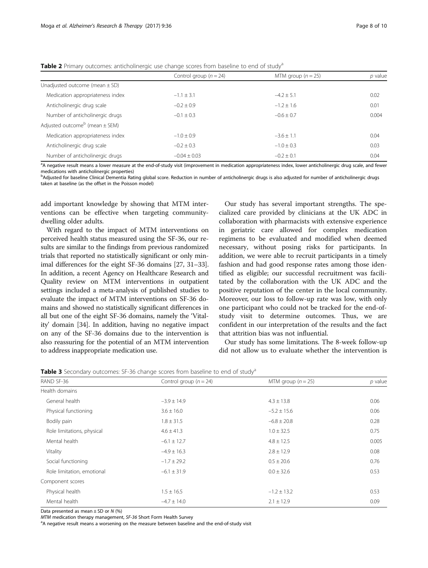|                                                | Control group ( $n = 24$ ) | MTM group $(n = 25)$ | $p$ value |  |
|------------------------------------------------|----------------------------|----------------------|-----------|--|
| Unadjusted outcome (mean $\pm$ SD)             |                            |                      |           |  |
| Medication appropriateness index               | $-1.1 + 3.1$               | $-4.2 + 5.1$         | 0.02      |  |
| Anticholinergic drug scale                     | $-0.2 \pm 0.9$             | $-1.2 \pm 1.6$       | 0.01      |  |
| Number of anticholinergic drugs                | $-0.1 + 0.3$               | $-0.6 + 0.7$         | 0.004     |  |
| Adjusted outcome <sup>b</sup> (mean $\pm$ SEM) |                            |                      |           |  |
| Medication appropriateness index               | $-1.0 + 0.9$               | $-3.6 + 1.1$         | 0.04      |  |
| Anticholinergic drug scale                     | $-0.2 + 0.3$               | $-1.0 + 0.3$         | 0.03      |  |
| Number of anticholinergic drugs                | $-0.04 \pm 0.03$           | $-0.2 \pm 0.1$       | 0.04      |  |

<span id="page-7-0"></span>Table 2 Primary outcomes: anticholinergic use change scores from baseline to end of study<sup>a</sup>

<sup>a</sup>A negative result means a lower measure at the end-of-study visit (improvement in medication appropriateness index, lower anticholinergic drug scale, and fewer medications with anticholinergic properties)

b<br>Adjusted for baseline Clinical Dementia Rating global score. Reduction in number of anticholinergic drugs is also adjusted for number of anticholinergic drugs taken at baseline (as the offset in the Poisson model)

add important knowledge by showing that MTM interventions can be effective when targeting communitydwelling older adults.

With regard to the impact of MTM interventions on perceived health status measured using the SF-36, our results are similar to the findings from previous randomized trials that reported no statistically significant or only minimal differences for the eight SF-36 domains [\[27, 31](#page-9-0)–[33](#page-9-0)]. In addition, a recent Agency on Healthcare Research and Quality review on MTM interventions in outpatient settings included a meta-analysis of published studies to evaluate the impact of MTM interventions on SF-36 domains and showed no statistically significant differences in all but one of the eight SF-36 domains, namely the 'Vitality' domain [\[34\]](#page-9-0). In addition, having no negative impact on any of the SF-36 domains due to the intervention is also reassuring for the potential of an MTM intervention to address inappropriate medication use.

Our study has several important strengths. The specialized care provided by clinicians at the UK ADC in collaboration with pharmacists with extensive experience in geriatric care allowed for complex medication regimens to be evaluated and modified when deemed necessary, without posing risks for participants. In addition, we were able to recruit participants in a timely fashion and had good response rates among those identified as eligible; our successful recruitment was facilitated by the collaboration with the UK ADC and the positive reputation of the center in the local community. Moreover, our loss to follow-up rate was low, with only one participant who could not be tracked for the end-ofstudy visit to determine outcomes. Thus, we are confident in our interpretation of the results and the fact that attrition bias was not influential.

Our study has some limitations. The 8-week follow-up did not allow us to evaluate whether the intervention is

Table 3 Secondary outcomes: SF-36 change scores from baseline to end of study<sup>a</sup>

| RAND SF-36                 | Control group ( $n = 24$ ) | MTM group $(n = 25)$ | $p$ value |
|----------------------------|----------------------------|----------------------|-----------|
| Health domains             |                            |                      |           |
| General health             | $-3.9 \pm 14.9$            | $4.3 \pm 13.8$       | 0.06      |
| Physical functioning       | $3.6 \pm 16.0$             | $-5.2 \pm 15.6$      | 0.06      |
| Bodily pain                | $1.8 \pm 31.5$             | $-6.8 \pm 20.8$      | 0.28      |
| Role limitations, physical | $4.6 \pm 41.3$             | $1.0 \pm 32.5$       | 0.75      |
| Mental health              | $-6.1 \pm 12.7$            | $4.8 \pm 12.5$       | 0.005     |
| Vitality                   | $-4.9 \pm 16.3$            | $2.8 \pm 12.9$       | 0.08      |
| Social functioning         | $-1.7 \pm 29.2$            | $0.5 \pm 20.6$       | 0.76      |
| Role limitation, emotional | $-6.1 \pm 31.9$            | $0.0 \pm 32.6$       | 0.53      |
| Component scores           |                            |                      |           |
| Physical health            | $1.5 \pm 16.5$             | $-1.2 \pm 13.2$      | 0.53      |
| Mental health              | $-4.7 \pm 14.0$            | $2.1 \pm 12.9$       | 0.09      |

Data presented as mean  $\pm$  SD or N (%)

MTM medication therapy management, SF-36 Short Form Health Survey

<sup>a</sup>A negative result means a worsening on the measure between baseline and the end-of-study visit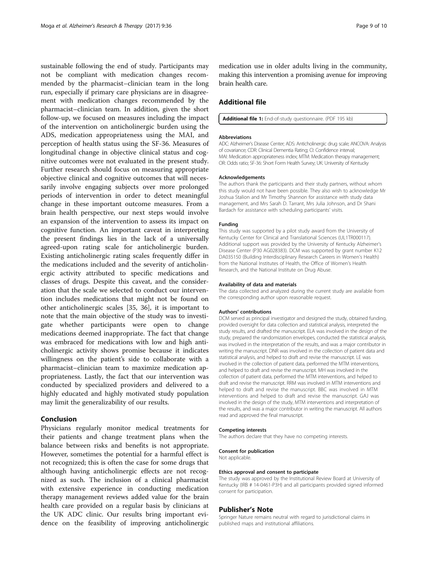<span id="page-8-0"></span>sustainable following the end of study. Participants may not be compliant with medication changes recommended by the pharmacist–clinician team in the long run, especially if primary care physicians are in disagreement with medication changes recommended by the pharmacist–clinician team. In addition, given the short follow-up, we focused on measures including the impact of the intervention on anticholinergic burden using the ADS, medication appropriateness using the MAI, and perception of health status using the SF-36. Measures of longitudinal change in objective clinical status and cognitive outcomes were not evaluated in the present study. Further research should focus on measuring appropriate objective clinical and cognitive outcomes that will necessarily involve engaging subjects over more prolonged periods of intervention in order to detect meaningful change in these important outcome measures. From a brain health perspective, our next steps would involve an expansion of the intervention to assess its impact on cognitive function. An important caveat in interpreting the present findings lies in the lack of a universally agreed-upon rating scale for anticholinergic burden. Existing anticholinergic rating scales frequently differ in the medications included and the severity of anticholinergic activity attributed to specific medications and classes of drugs. Despite this caveat, and the consideration that the scale we selected to conduct our intervention includes medications that might not be found on other anticholinergic scales [\[35](#page-9-0), [36\]](#page-9-0), it is important to note that the main objective of the study was to investigate whether participants were open to change medications deemed inappropriate. The fact that change was embraced for medications with low and high anticholinergic activity shows promise because it indicates willingness on the patient's side to collaborate with a pharmacist–clinician team to maximize medication appropriateness. Lastly, the fact that our intervention was conducted by specialized providers and delivered to a highly educated and highly motivated study population may limit the generalizability of our results.

# Conclusion

Physicians regularly monitor medical treatments for their patients and change treatment plans when the balance between risks and benefits is not appropriate. However, sometimes the potential for a harmful effect is not recognized; this is often the case for some drugs that although having anticholinergic effects are not recognized as such. The inclusion of a clinical pharmacist with extensive experience in conducting medication therapy management reviews added value for the brain health care provided on a regular basis by clinicians at the UK ADC clinic. Our results bring important evidence on the feasibility of improving anticholinergic

medication use in older adults living in the community, making this intervention a promising avenue for improving brain health care.

# Additional file

#### [Additional file 1:](dx.doi.org/10.1186/s13195-017-0263-9) End-of-study questionnaire. (PDF 195 kb)

#### Abbreviations

ADC: Alzheimer's Disease Center; ADS: Anticholinergic drug scale; ANCOVA: Analysis of covariance; CDR: Clinical Dementia Rating; CI: Confidence interval; MAI: Medication appropriateness index; MTM: Medication therapy management; OR: Odds ratio; SF-36: Short Form Health Survey; UK: University of Kentucky

#### Acknowledgements

The authors thank the participants and their study partners, without whom this study would not have been possible. They also wish to acknowledge Mr Joshua Stalion and Mr Timothy Shannon for assistance with study data management, and Mrs Sarah D. Tarrant, Mrs Julia Johnson, and Dr Shani Bardach for assistance with scheduling participants' visits.

#### Funding

This study was supported by a pilot study award from the University of Kentucky Center for Clinical and Translational Sciences (UL1TR000117). Additional support was provided by the University of Kentucky Alzheimer's Disease Center (P30 AG028383). DCM was supported by grant number K12 DA035150 (Building Interdisciplinary Research Careers in Women's Health) from the National Institutes of Health, the Office of Women's Health Research, and the National Institute on Drug Abuse.

# Availability of data and materials

The data collected and analyzed during the current study are available from the corresponding author upon reasonable request.

#### Authors' contributions

DCM served as principal investigator and designed the study, obtained funding, provided oversight for data collection and statistical analysis, interpreted the study results, and drafted the manuscript. ELA was involved in the design of the study, prepared the randomization envelopes, conducted the statistical analysis, was involved in the interpretation of the results, and was a major contributor in writing the manuscript. DNR was involved in the collection of patient data and statistical analysis, and helped to draft and revise the manuscript. LE was involved in the collection of patient data, performed the MTM interventions, and helped to draft and revise the manuscript. MH was involved in the collection of patient data, performed the MTM interventions, and helped to draft and revise the manuscript. RRM was involved in MTM interventions and helped to draft and revise the manuscript. BBC was involved in MTM interventions and helped to draft and revise the manuscript. GAJ was involved in the design of the study, MTM interventions and interpretation of the results, and was a major contributor in writing the manuscript. All authors read and approved the final manuscript.

# Competing interests

The authors declare that they have no competing interests.

#### Consent for publication

Not applicable.

# Ethics approval and consent to participate

The study was approved by the Institutional Review Board at University of Kentucky (IRB # 14-0461-P3H) and all participants provided signed informed consent for participation.

## Publisher's Note

Springer Nature remains neutral with regard to jurisdictional claims in published maps and institutional affiliations.